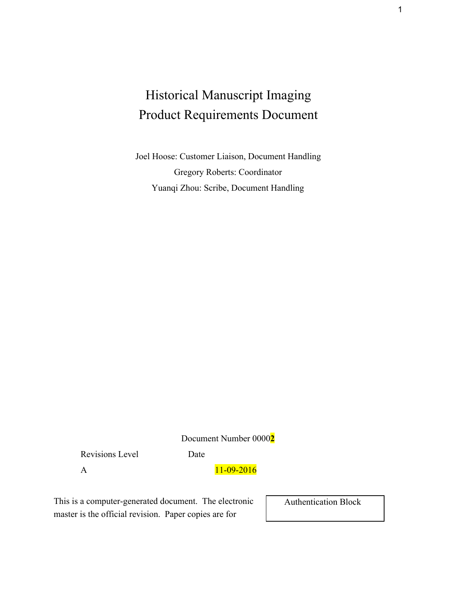# Historical Manuscript Imaging Product Requirements Document

Joel Hoose: Customer Liaison, Document Handling Gregory Roberts: Coordinator Yuanqi Zhou: Scribe, Document Handling

Document Number 0000**2**

Revisions Level Date

A 11-09-2016

This is a computer-generated document. The electronic master is the official revision. Paper copies are for

Authentication Block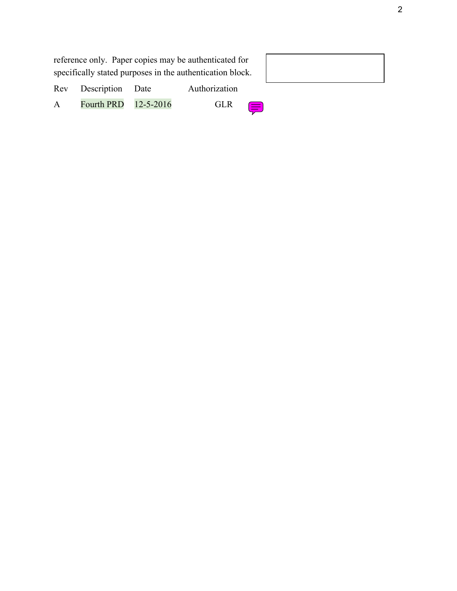| reference only. Paper copies may be authenticated for     |                      |  |               |  |  |
|-----------------------------------------------------------|----------------------|--|---------------|--|--|
| specifically stated purposes in the authentication block. |                      |  |               |  |  |
|                                                           | Rev Description Date |  | Authorization |  |  |
| $\mathbf{A}$                                              | Fourth PRD 12-5-2016 |  | <b>GLR</b>    |  |  |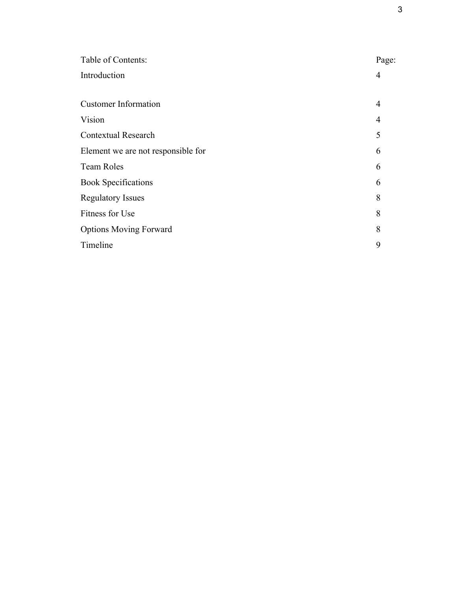| Table of Contents:                 | Page:          |
|------------------------------------|----------------|
| Introduction                       | 4              |
| <b>Customer Information</b>        | $\overline{4}$ |
| Vision                             | $\overline{4}$ |
| <b>Contextual Research</b>         | 5              |
| Element we are not responsible for | 6              |
| <b>Team Roles</b>                  | 6              |
| <b>Book Specifications</b>         | 6              |
| <b>Regulatory Issues</b>           | 8              |
| Fitness for Use                    | 8              |
| <b>Options Moving Forward</b>      | 8              |
| Timeline                           | 9              |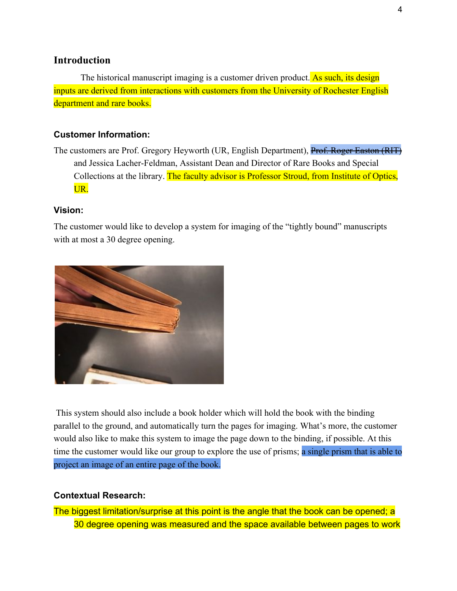## **Introduction**

The historical manuscript imaging is a customer driven product. As such, its design inputs are derived from interactions with customers from the University of Rochester English department and rare books.

#### **Customer Information:**

The customers are Prof. Gregory Heyworth (UR, English Department), Prof. Roger Easton (RIT) and Jessica Lacher-Feldman, Assistant Dean and Director of Rare Books and Special Collections at the library. The faculty advisor is Professor Stroud, from Institute of Optics, UR.

#### **Vision:**

The customer would like to develop a system for imaging of the "tightly bound" manuscripts with at most a 30 degree opening.



 This system should also include a book holder which will hold the book with the binding parallel to the ground, and automatically turn the pages for imaging. What's more, the customer would also like to make this system to image the page down to the binding, if possible. At this time the customer would like our group to explore the use of prisms; a single prism that is able to project an image of an entire page of the book.

#### **Contextual Research:**

The biggest limitation/surprise at this point is the angle that the book can be opened; a 30 degree opening was measured and the space available between pages to work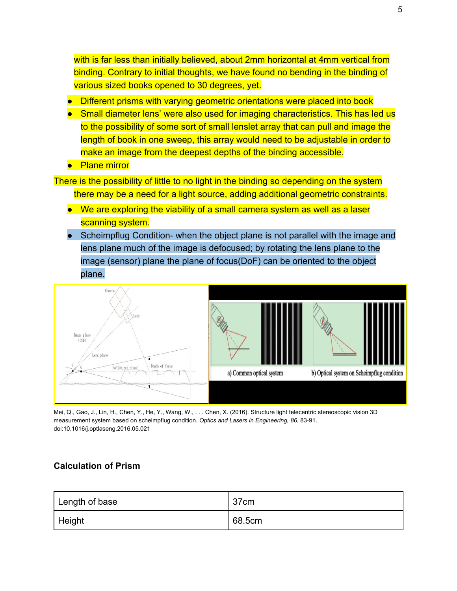with is far less than initially believed, about 2mm horizontal at 4mm vertical from binding. Contrary to initial thoughts, we have found no bending in the binding of various sized books opened to 30 degrees, yet.

- Different prisms with varying geometric orientations were placed into book
- Small diameter lens' were also used for imaging characteristics. This has led us to the possibility of some sort of small lenslet array that can pull and image the length of book in one sweep, this array would need to be adjustable in order to make an image from the deepest depths of the binding accessible.
- Plane mirror

There is the possibility of little to no light in the binding so depending on the system there may be a need for a light source, adding additional geometric constraints.

- We are exploring the viability of a small camera system as well as a laser scanning system.
- Scheimpflug Condition- when the object plane is not parallel with the image and lens plane much of the image is defocused; by rotating the lens plane to the image (sensor) plane the plane of focus(DoF) can be oriented to the object plane.



Mei, Q., Gao, J., Lin, H., Chen, Y., He, Y., Wang, W., . . . Chen, X. (2016). Structure light telecentric stereoscopic vision 3D measurement system based on scheimpflug condition. *Optics and Lasers in Engineering, 86*, 83-91. doi:10.1016/j.optlaseng.2016.05.021

### **Calculation of Prism**

| Length of base | 37cm   |
|----------------|--------|
| Height         | 68.5cm |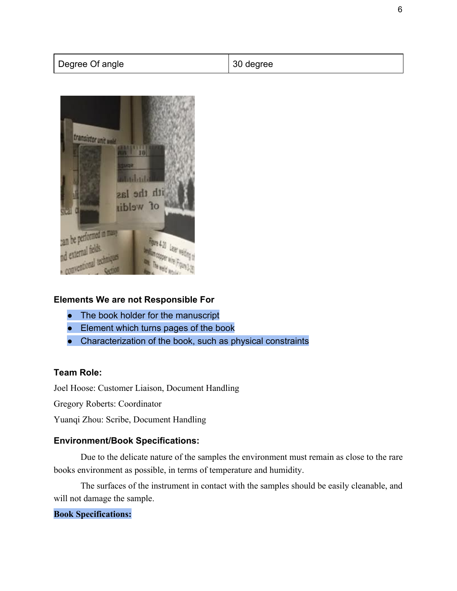| Degree Of angle | <sup>1</sup> 30 degree |
|-----------------|------------------------|
|                 |                        |



### **Elements We are not Responsible For**

- The book holder for the manuscript
- Element which turns pages of the book
- Characterization of the book, such as physical constraints

#### **Team Role:**

Joel Hoose: Customer Liaison, Document Handling

Gregory Roberts: Coordinator

Yuanqi Zhou: Scribe, Document Handling

## **Environment/Book Specifications:**

Due to the delicate nature of the samples the environment must remain as close to the rare books environment as possible, in terms of temperature and humidity.

The surfaces of the instrument in contact with the samples should be easily cleanable, and will not damage the sample.

## **Book Specifications:**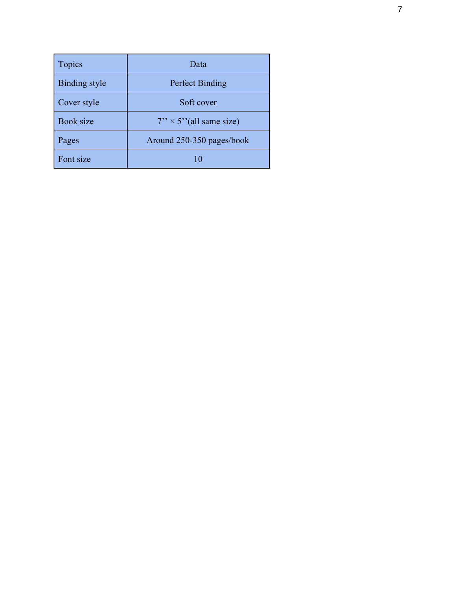| <b>Topics</b>        | Data                             |
|----------------------|----------------------------------|
| <b>Binding style</b> | <b>Perfect Binding</b>           |
| Cover style          | Soft cover                       |
| <b>Book size</b>     | $7'' \times 5''$ (all same size) |
| Pages                | Around 250-350 pages/book        |
| Font size            | 10                               |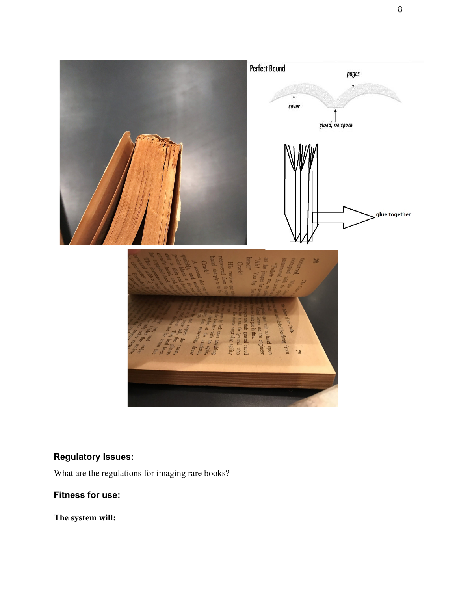

# **Regulatory Issues:**

What are the regulations for imaging rare books?

# **Fitness for use:**

**The system will:**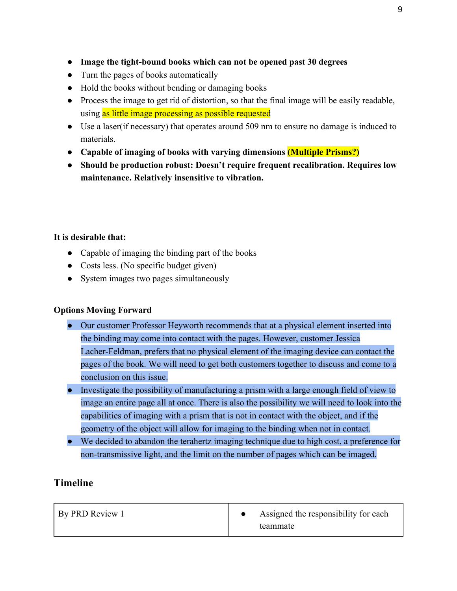- **Image the tight-bound books which can not be opened past 30 degrees**
- Turn the pages of books automatically
- Hold the books without bending or damaging books
- Process the image to get rid of distortion, so that the final image will be easily readable, using as little image processing as possible requested
- Use a laser(if necessary) that operates around 509 nm to ensure no damage is induced to materials.
- **Capable of imaging of books with varying dimensions (Multiple Prisms?)**
- **Should be production robust: Doesn't require frequent recalibration. Requires low maintenance. Relatively insensitive to vibration.**

### **It is desirable that:**

- Capable of imaging the binding part of the books
- Costs less. (No specific budget given)
- System images two pages simultaneously

### **Options Moving Forward**

- Our customer Professor Heyworth recommends that at a physical element inserted into the binding may come into contact with the pages. However, customer Jessica Lacher-Feldman, prefers that no physical element of the imaging device can contact the pages of the book. We will need to get both customers together to discuss and come to a conclusion on this issue.
- Investigate the possibility of manufacturing a prism with a large enough field of view to image an entire page all at once. There is also the possibility we will need to look into the capabilities of imaging with a prism that is not in contact with the object, and if the geometry of the object will allow for imaging to the binding when not in contact.
- We decided to abandon the terahertz imaging technique due to high cost, a preference for non-transmissive light, and the limit on the number of pages which can be imaged.

# **Timeline**

| <b>By PRD Review 1</b> | Assigned the responsibility for each |
|------------------------|--------------------------------------|
|                        | teammate                             |